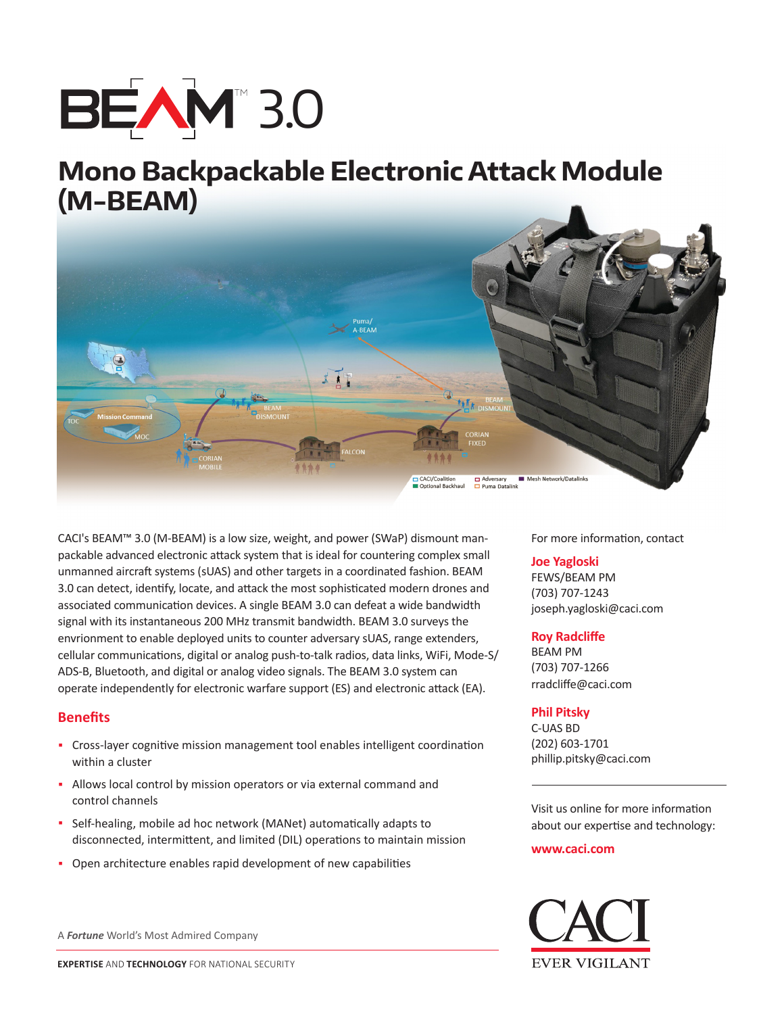

# **Mono Backpackable Electronic Attack Module (M-BEAM)**



CACI's BEAM™ 3.0 (M-BEAM) is a low size, weight, and power (SWaP) dismount manpackable advanced electronic attack system that is ideal for countering complex small unmanned aircraft systems (sUAS) and other targets in a coordinated fashion. BEAM 3.0 can detect, identify, locate, and attack the most sophisticated modern drones and associated communication devices. A single BEAM 3.0 can defeat a wide bandwidth signal with its instantaneous 200 MHz transmit bandwidth. BEAM 3.0 surveys the envrionment to enable deployed units to counter adversary sUAS, range extenders, cellular communications, digital or analog push-to-talk radios, data links, WiFi, Mode-S/ ADS-B, Bluetooth, and digital or analog video signals. The BEAM 3.0 system can operate independently for electronic warfare support (ES) and electronic attack (EA).

## **Benefits**

- **·** Cross-layer cognitive mission management tool enables intelligent coordination within a cluster
- **·** Allows local control by mission operators or via external command and control channels
- **·** Self-healing, mobile ad hoc network (MANet) automatically adapts to disconnected, intermittent, and limited (DIL) operations to maintain mission
- **·** Open architecture enables rapid development of new capabilities

A *Fortune* World's Most Admired Company

For more information, contact

### **Joe Yagloski**

FEWS/BEAM PM (703) 707-1243 joseph.yagloski@caci.com

### **Roy Radcliffe**

BEAM PM (703) 707-1266 rradcliffe@caci.com

### **Phil Pitsky**

C-UAS BD (202) 603-1701 phillip.pitsky@caci.com

Visit us online for more information about our expertise and technology:

#### **www.caci.com**